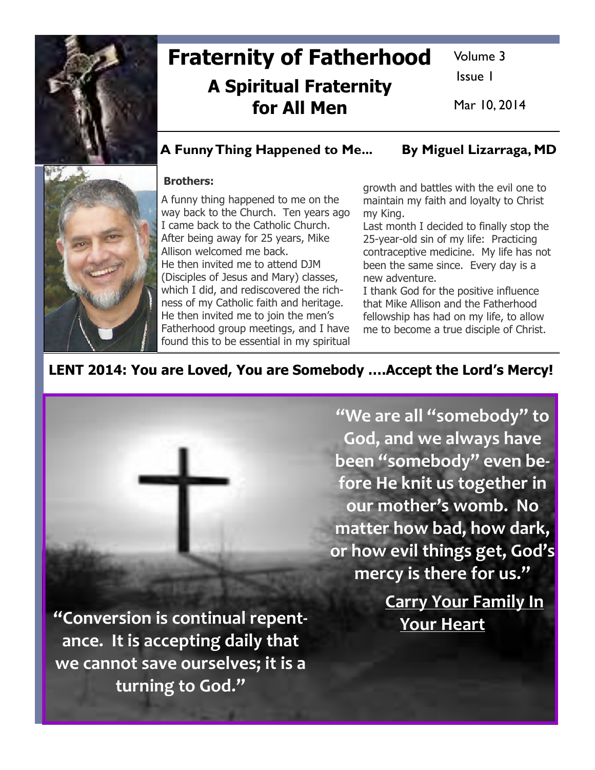

# Fraternity of Fatherhood A Spiritual Fraternity for All Men

Volume 3

Issue 1

Mar 10, 2014

## A Funny Thing Happened to Me... By Miguel Lizarraga, MD



#### Brothers:

A funny thing happened to me on the way back to the Church. Ten years ago I came back to the Catholic Church. After being away for 25 years, Mike Allison welcomed me back. He then invited me to attend DJM (Disciples of Jesus and Mary) classes, which I did, and rediscovered the richness of my Catholic faith and heritage. He then invited me to join the men's Fatherhood group meetings, and I have found this to be essential in my spiritual

growth and battles with the evil one to maintain my faith and loyalty to Christ my King.

Last month I decided to finally stop the 25-year-old sin of my life: Practicing contraceptive medicine. My life has not been the same since. Every day is a new adventure.

I thank God for the positive influence that Mike Allison and the Fatherhood fellowship has had on my life, to allow me to become a true disciple of Christ.

# LENT 2014: You are Loved, You are Somebody ….Accept the Lord's Mercy!

"Conversion is continual repentance. It is accepting daily that we cannot save ourselves; it is a turning to God."

"We are all "somebody" to God, and we always have been "somebody" even before He knit us together in our mother's womb. No matter how bad, how dark, or how evil things get, God's mercy is there for us."

> Carry Your Family In Your Heart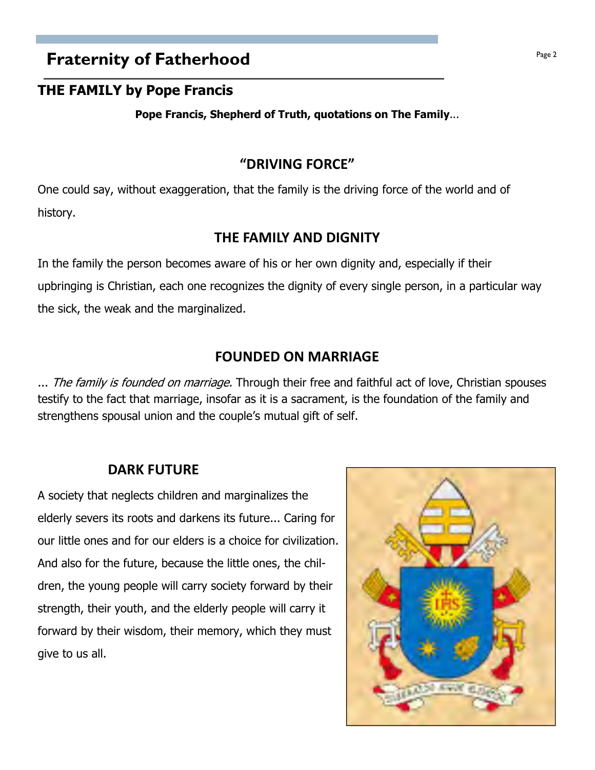# **Fraternity of Fatherhood Page 2 Page 2**

### THE FAMILY by Pope Francis

Pope Francis, Shepherd of Truth, quotations on The Family...

### "DRIVING FORCE"

One could say, without exaggeration, that the family is the driving force of the world and of history.

### THE FAMILY AND DIGNITY

In the family the person becomes aware of his or her own dignity and, especially if their upbringing is Christian, each one recognizes the dignity of every single person, in a particular way the sick, the weak and the marginalized.

# FOUNDED ON MARRIAGE

... The family is founded on marriage. Through their free and faithful act of love, Christian spouses testify to the fact that marriage, insofar as it is a sacrament, is the foundation of the family and strengthens spousal union and the couple's mutual gift of self.

### DARK FUTURE

A society that neglects children and marginalizes the elderly severs its roots and darkens its future... Caring for our little ones and for our elders is a choice for civilization. And also for the future, because the little ones, the children, the young people will carry society forward by their strength, their youth, and the elderly people will carry it forward by their wisdom, their memory, which they must give to us all.

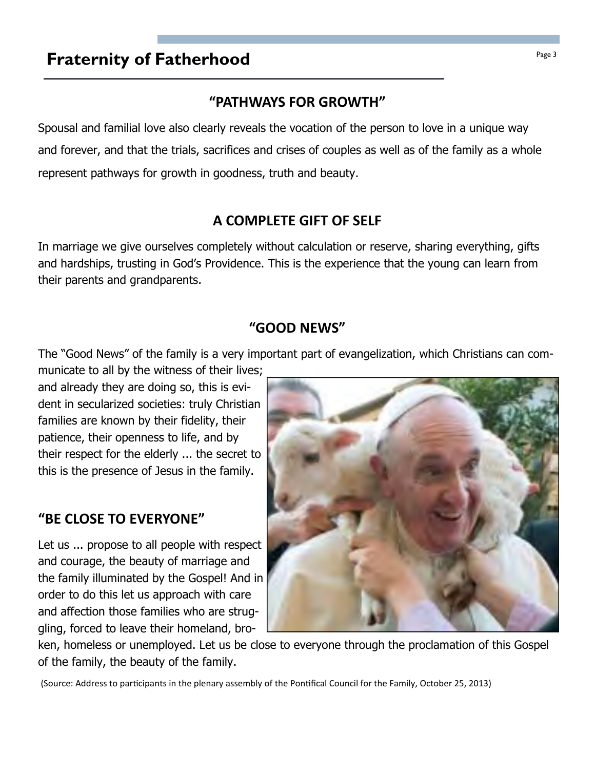# **Fraternity of Fatherhood Page 3**

# "PATHWAYS FOR GROWTH"

Spousal and familial love also clearly reveals the vocation of the person to love in a unique way and forever, and that the trials, sacrifices and crises of couples as well as of the family as a whole represent pathways for growth in goodness, truth and beauty.

# A COMPLETE GIFT OF SELF

In marriage we give ourselves completely without calculation or reserve, sharing everything, gifts and hardships, trusting in God's Providence. This is the experience that the young can learn from their parents and grandparents.

# "GOOD NEWS"

The "Good News" of the family is a very important part of evangelization, which Christians can com-

municate to all by the witness of their lives; and already they are doing so, this is evident in secularized societies: truly Christian families are known by their fidelity, their patience, their openness to life, and by their respect for the elderly ... the secret to this is the presence of Jesus in the family.

# "BE CLOSE TO EVERYONE"

Let us ... propose to all people with respect and courage, the beauty of marriage and the family illuminated by the Gospel! And in order to do this let us approach with care and affection those families who are struggling, forced to leave their homeland, bro-

ken, homeless or unemployed. Let us be close to everyone through the proclamation of this Gospel of the family, the beauty of the family.

(Source: Address to participants in the plenary assembly of the Pontifical Council for the Family, October 25, 2013)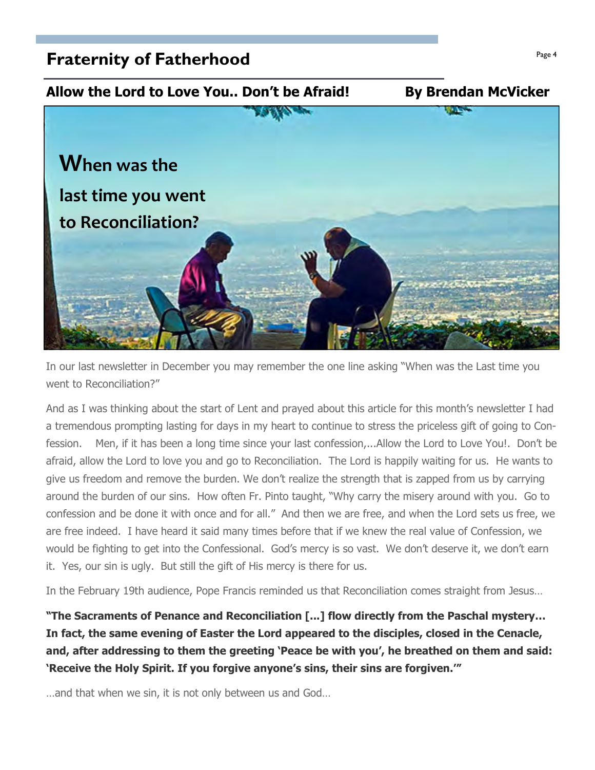# **Fraternity of Fatherhood Page 4**  $\frac{Page 4}{Page 4}$



In our last newsletter in December you may remember the one line asking "When was the Last time you went to Reconciliation?"

And as I was thinking about the start of Lent and prayed about this article for this month's newsletter I had a tremendous prompting lasting for days in my heart to continue to stress the priceless gift of going to Confession. Men, if it has been a long time since your last confession,...Allow the Lord to Love You!. Don't be afraid, allow the Lord to love you and go to Reconciliation. The Lord is happily waiting for us. He wants to give us freedom and remove the burden. We don't realize the strength that is zapped from us by carrying around the burden of our sins. How often Fr. Pinto taught, "Why carry the misery around with you. Go to confession and be done it with once and for all." And then we are free, and when the Lord sets us free, we are free indeed. I have heard it said many times before that if we knew the real value of Confession, we would be fighting to get into the Confessional. God's mercy is so vast. We don't deserve it, we don't earn it. Yes, our sin is ugly. But still the gift of His mercy is there for us.

In the February 19th audience, Pope Francis reminded us that Reconciliation comes straight from Jesus…

"The Sacraments of Penance and Reconciliation [...] flow directly from the Paschal mystery… In fact, the same evening of Easter the Lord appeared to the disciples, closed in the Cenacle, and, after addressing to them the greeting 'Peace be with you', he breathed on them and said: 'Receive the Holy Spirit. If you forgive anyone's sins, their sins are forgiven.'"

…and that when we sin, it is not only between us and God…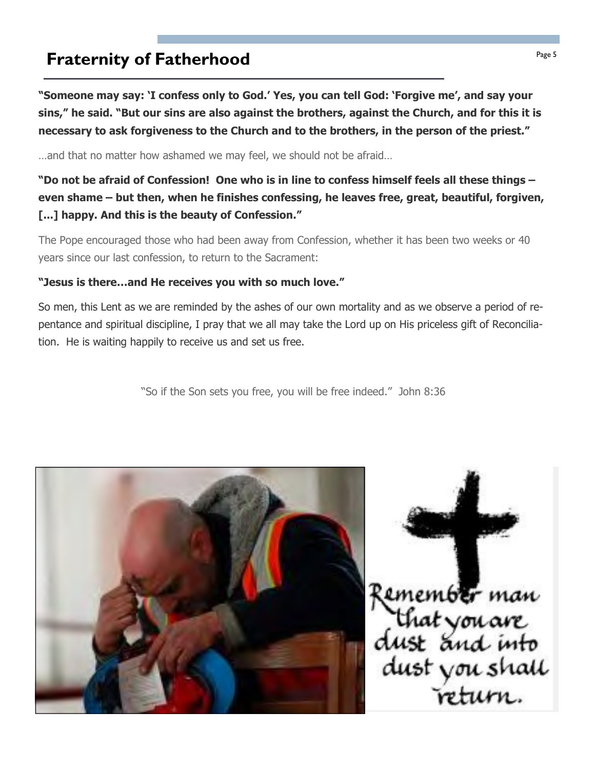# **Fraternity of Fatherhood Fraternity of Fatherhood**

"Someone may say: 'I confess only to God.' Yes, you can tell God: 'Forgive me', and say your sins," he said. "But our sins are also against the brothers, against the Church, and for this it is necessary to ask forgiveness to the Church and to the brothers, in the person of the priest."

…and that no matter how ashamed we may feel, we should not be afraid…

"Do not be afraid of Confession! One who is in line to confess himself feels all these things – even shame – but then, when he finishes confessing, he leaves free, great, beautiful, forgiven, [...] happy. And this is the beauty of Confession."

The Pope encouraged those who had been away from Confession, whether it has been two weeks or 40 years since our last confession, to return to the Sacrament:

#### "Jesus is there…and He receives you with so much love."

So men, this Lent as we are reminded by the ashes of our own mortality and as we observe a period of repentance and spiritual discipline, I pray that we all may take the Lord up on His priceless gift of Reconciliation. He is waiting happily to receive us and set us free.

"So if the Son sets you free, you will be free indeed." John 8:36



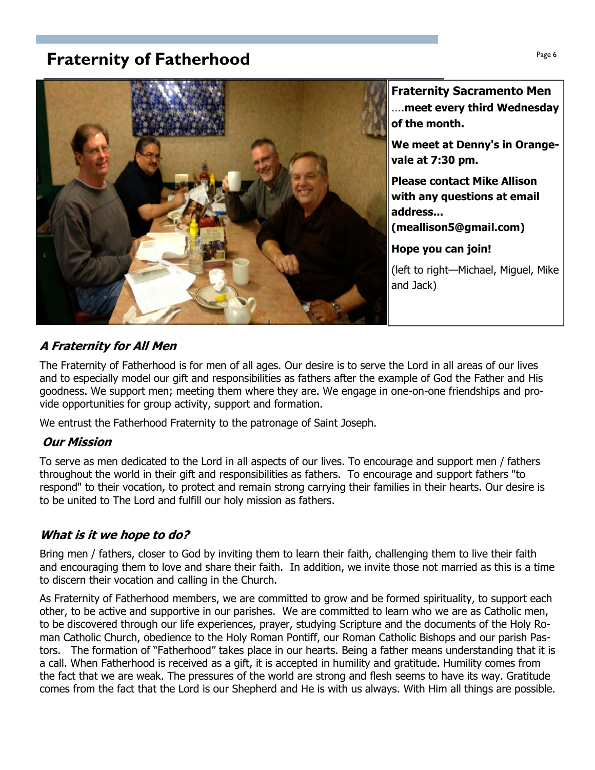# **Praternity of Fatherhood Page 6**  $\frac{Page6}{Page6}$



Fraternity Sacramento Men ….meet every third Wednesday of the month.

We meet at Denny's in Orangevale at 7:30 pm.

Please contact Mike Allison with any questions at email address...

(meallison5@gmail.com)

Hope you can join!

(left to right—Michael, Miguel, Mike and Jack)

### A Fraternity for All Men

The Fraternity of Fatherhood is for men of all ages. Our desire is to serve the Lord in all areas of our lives and to especially model our gift and responsibilities as fathers after the example of God the Father and His goodness. We support men; meeting them where they are. We engage in one-on-one friendships and provide opportunities for group activity, support and formation.

We entrust the Fatherhood Fraternity to the patronage of Saint Joseph.

### Our Mission

To serve as men dedicated to the Lord in all aspects of our lives. To encourage and support men / fathers throughout the world in their gift and responsibilities as fathers. To encourage and support fathers "to respond" to their vocation, to protect and remain strong carrying their families in their hearts. Our desire is to be united to The Lord and fulfill our holy mission as fathers.

### What is it we hope to do?

Bring men / fathers, closer to God by inviting them to learn their faith, challenging them to live their faith and encouraging them to love and share their faith. In addition, we invite those not married as this is a time to discern their vocation and calling in the Church.

As Fraternity of Fatherhood members, we are committed to grow and be formed spirituality, to support each other, to be active and supportive in our parishes. We are committed to learn who we are as Catholic men, to be discovered through our life experiences, prayer, studying Scripture and the documents of the Holy Roman Catholic Church, obedience to the Holy Roman Pontiff, our Roman Catholic Bishops and our parish Pastors. The formation of "Fatherhood" takes place in our hearts. Being a father means understanding that it is a call. When Fatherhood is received as a gift, it is accepted in humility and gratitude. Humility comes from the fact that we are weak. The pressures of the world are strong and flesh seems to have its way. Gratitude comes from the fact that the Lord is our Shepherd and He is with us always. With Him all things are possible.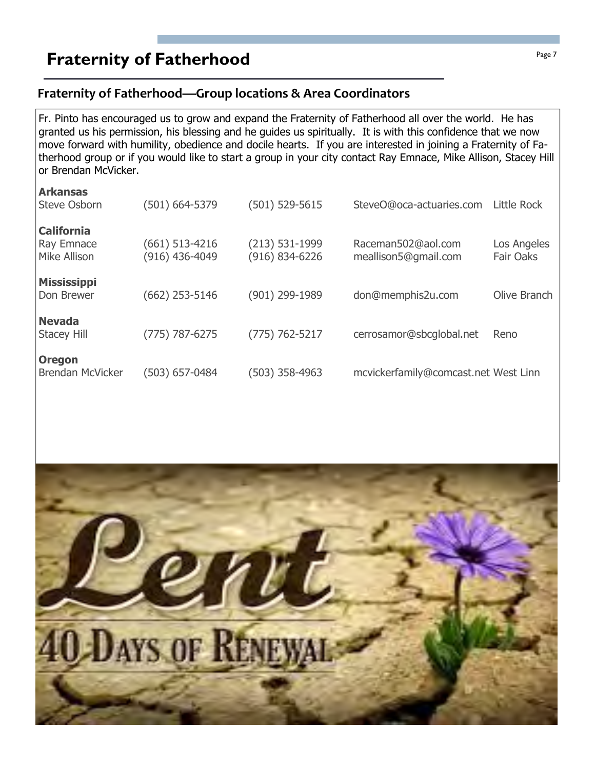# **Fraternity of Fatherhood Page 7** Fraternity of Fatherhood

### Fraternity of Fatherhood—Group locations & Area Coordinators

Fr. Pinto has encouraged us to grow and expand the Fraternity of Fatherhood all over the world. He has granted us his permission, his blessing and he guides us spiritually. It is with this confidence that we now move forward with humility, obedience and docile hearts. If you are interested in joining a Fraternity of Fatherhood group or if you would like to start a group in your city contact Ray Emnace, Mike Allison, Stacey Hill or Brendan McVicker.

| <b>Arkansas</b><br><b>Steve Osborn</b>          | (501) 664-5379                   | $(501) 529 - 5615$                     | SteveO@oca-actuaries.com                   | Little Rock              |
|-------------------------------------------------|----------------------------------|----------------------------------------|--------------------------------------------|--------------------------|
| <b>California</b><br>Ray Emnace<br>Mike Allison | (661) 513-4216<br>(916) 436-4049 | $(213) 531-1999$<br>$(916) 834 - 6226$ | Raceman502@aol.com<br>meallison5@gmail.com | Los Angeles<br>Fair Oaks |
| <b>Mississippi</b><br>Don Brewer                | (662) 253-5146                   | (901) 299-1989                         | don@memphis2u.com                          | Olive Branch             |
| <b>Nevada</b><br><b>Stacey Hill</b>             | (775) 787-6275                   | $(775) 762 - 5217$                     | cerrosamor@sbcglobal.net                   | Reno                     |
| <b>Oregon</b><br><b>Brendan McVicker</b>        | (503) 657-0484                   | (503) 358-4963                         | mcvickerfamily@comcast.net West Linn       |                          |

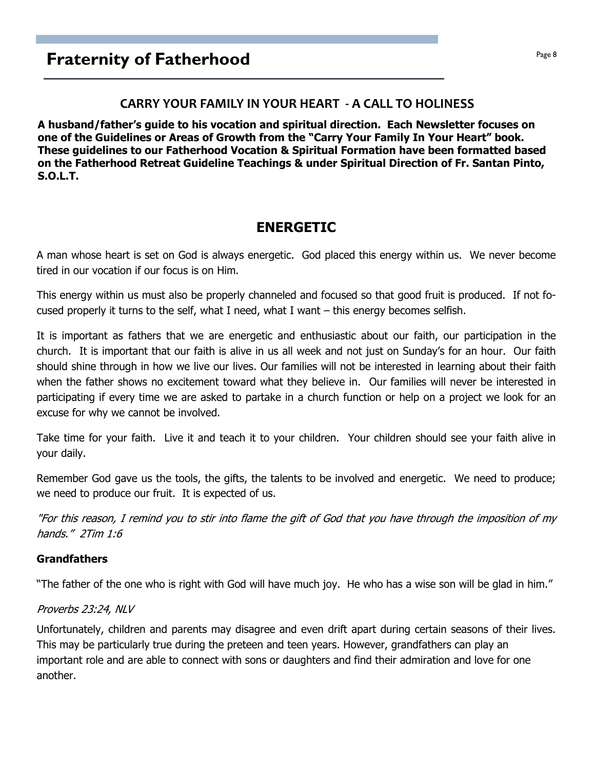# **Fraternity of Fatherhood Page 8**

#### CARRY YOUR FAMILY IN YOUR HEART - A CALL TO HOLINESS

A husband/father's guide to his vocation and spiritual direction. Each Newsletter focuses on one of the Guidelines or Areas of Growth from the "Carry Your Family In Your Heart" book. These guidelines to our Fatherhood Vocation & Spiritual Formation have been formatted based on the Fatherhood Retreat Guideline Teachings & under Spiritual Direction of Fr. Santan Pinto, S.O.L.T.

### ENERGETIC

A man whose heart is set on God is always energetic. God placed this energy within us. We never become tired in our vocation if our focus is on Him.

This energy within us must also be properly channeled and focused so that good fruit is produced. If not focused properly it turns to the self, what I need, what I want – this energy becomes selfish.

It is important as fathers that we are energetic and enthusiastic about our faith, our participation in the church. It is important that our faith is alive in us all week and not just on Sunday's for an hour. Our faith should shine through in how we live our lives. Our families will not be interested in learning about their faith when the father shows no excitement toward what they believe in. Our families will never be interested in participating if every time we are asked to partake in a church function or help on a project we look for an excuse for why we cannot be involved.

Take time for your faith. Live it and teach it to your children. Your children should see your faith alive in your daily.

Remember God gave us the tools, the gifts, the talents to be involved and energetic. We need to produce; we need to produce our fruit. It is expected of us.

"For this reason, I remind you to stir into flame the gift of God that you have through the imposition of my hands." 2Tim 1:6

#### Grandfathers

"The father of the one who is right with God will have much joy. He who has a wise son will be glad in him."

#### Proverbs 23:24, NLV

Unfortunately, children and parents may disagree and even drift apart during certain seasons of their lives. This may be particularly true during the preteen and teen years. However, grandfathers can play an important role and are able to connect with sons or daughters and find their admiration and love for one another.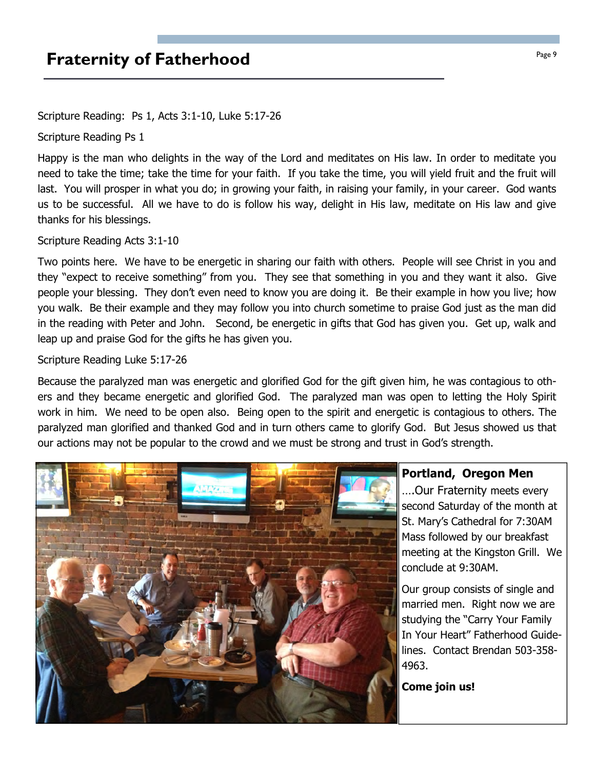# **Praternity of Fatherhood Page 9** Fraternity of Fatherhood

Scripture Reading: Ps 1, Acts 3:1-10, Luke 5:17-26

Scripture Reading Ps 1

Happy is the man who delights in the way of the Lord and meditates on His law. In order to meditate you need to take the time; take the time for your faith. If you take the time, you will yield fruit and the fruit will last. You will prosper in what you do; in growing your faith, in raising your family, in your career. God wants us to be successful. All we have to do is follow his way, delight in His law, meditate on His law and give thanks for his blessings.

#### Scripture Reading Acts 3:1-10

Two points here. We have to be energetic in sharing our faith with others. People will see Christ in you and they "expect to receive something" from you. They see that something in you and they want it also. Give people your blessing. They don't even need to know you are doing it. Be their example in how you live; how you walk. Be their example and they may follow you into church sometime to praise God just as the man did in the reading with Peter and John. Second, be energetic in gifts that God has given you. Get up, walk and leap up and praise God for the gifts he has given you.

#### Scripture Reading Luke 5:17-26

Because the paralyzed man was energetic and glorified God for the gift given him, he was contagious to others and they became energetic and glorified God. The paralyzed man was open to letting the Holy Spirit work in him. We need to be open also. Being open to the spirit and energetic is contagious to others. The paralyzed man glorified and thanked God and in turn others came to glorify God. But Jesus showed us that our actions may not be popular to the crowd and we must be strong and trust in God's strength.



#### Portland, Oregon Men

….Our Fraternity meets every second Saturday of the month at St. Mary's Cathedral for 7:30AM Mass followed by our breakfast meeting at the Kingston Grill. We conclude at 9:30AM.

Our group consists of single and married men. Right now we are studying the "Carry Your Family In Your Heart" Fatherhood Guidelines. Contact Brendan 503-358- 4963.

Come join us!